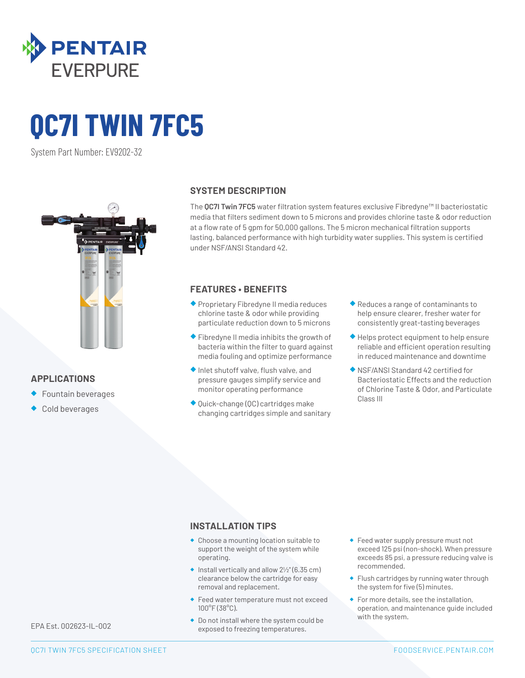

# **QC7I TWIN 7FC5**

System Part Number: EV9202-32



#### **APPLICATIONS**

- ◆ Fountain beverages
- Cold beverages

#### **SYSTEM DESCRIPTION**

The **QC7I Twin 7FC5** water filtration system features exclusive Fibredyne™ II bacteriostatic media that filters sediment down to 5 microns and provides chlorine taste & odor reduction at a flow rate of 5 gpm for 50,000 gallons. The 5 micron mechanical filtration supports lasting, balanced performance with high turbidity water supplies. This system is certified under NSF/ANSI Standard 42.

#### **FEATURES • BENEFITS**

- ◆ Proprietary Fibredyne II media reduces chlorine taste & odor while providing particulate reduction down to 5 microns
- ◆ Fibredyne II media inhibits the growth of bacteria within the filter to guard against media fouling and optimize performance
- ◆ Inlet shutoff valve, flush valve, and pressure gauges simplify service and monitor operating performance
- ◆ Quick-change (QC) cartridges make changing cartridges simple and sanitary
- ◆ Reduces a range of contaminants to help ensure clearer, fresher water for consistently great-tasting beverages
- ◆ Helps protect equipment to help ensure reliable and efficient operation resulting in reduced maintenance and downtime
- ◆ NSF/ANSI Standard 42 certified for Bacteriostatic Effects and the reduction of Chlorine Taste & Odor, and Particulate Class III

#### **INSTALLATION TIPS**

- ◆ Choose a mounting location suitable to support the weight of the system while operating.
- $\bullet$  Install vertically and allow  $2\frac{1}{2}$ " (6.35 cm) clearance below the cartridge for easy removal and replacement.
- ◆ Feed water temperature must not exceed 100°F (38°C).
- ◆ Do not install where the system could be exposed to freezing temperatures.
- ◆ Feed water supply pressure must not exceed 125 psi (non-shock). When pressure exceeds 85 psi, a pressure reducing valve is recommended.
- ◆ Flush cartridges by running water through the system for five (5) minutes.
- ◆ For more details, see the installation, operation, and maintenance guide included with the system.

EPA Est. 002623-IL-002